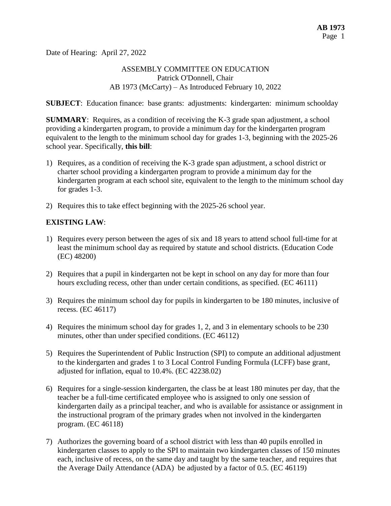Date of Hearing: April 27, 2022

## ASSEMBLY COMMITTEE ON EDUCATION Patrick O'Donnell, Chair AB 1973 (McCarty) – As Introduced February 10, 2022

**SUBJECT**: Education finance: base grants: adjustments: kindergarten: minimum schoolday

**SUMMARY:** Requires, as a condition of receiving the K-3 grade span adjustment, a school providing a kindergarten program, to provide a minimum day for the kindergarten program equivalent to the length to the minimum school day for grades 1-3, beginning with the 2025-26 school year. Specifically, **this bill**:

- 1) Requires, as a condition of receiving the K-3 grade span adjustment, a school district or charter school providing a kindergarten program to provide a minimum day for the kindergarten program at each school site, equivalent to the length to the minimum school day for grades 1-3.
- 2) Requires this to take effect beginning with the 2025-26 school year.

## **EXISTING LAW**:

- 1) Requires every person between the ages of six and 18 years to attend school full-time for at least the minimum school day as required by statute and school districts. (Education Code (EC) 48200)
- 2) Requires that a pupil in kindergarten not be kept in school on any day for more than four hours excluding recess, other than under certain conditions, as specified. (EC 46111)
- 3) Requires the minimum school day for pupils in kindergarten to be 180 minutes, inclusive of recess. (EC 46117)
- 4) Requires the minimum school day for grades 1, 2, and 3 in elementary schools to be 230 minutes, other than under specified conditions. (EC 46112)
- 5) Requires the Superintendent of Public Instruction (SPI) to compute an additional adjustment to the kindergarten and grades 1 to 3 Local Control Funding Formula (LCFF) base grant, adjusted for inflation, equal to 10.4%. (EC 42238.02)
- 6) Requires for a single-session kindergarten, the class be at least 180 minutes per day, that the teacher be a full-time certificated employee who is assigned to only one session of kindergarten daily as a principal teacher, and who is available for assistance or assignment in the instructional program of the primary grades when not involved in the kindergarten program. (EC 46118)
- 7) Authorizes the governing board of a school district with less than 40 pupils enrolled in kindergarten classes to apply to the SPI to maintain two kindergarten classes of 150 minutes each, inclusive of recess, on the same day and taught by the same teacher, and requires that the Average Daily Attendance (ADA) be adjusted by a factor of 0.5. (EC 46119)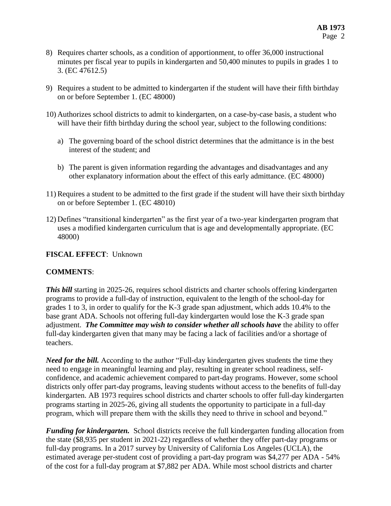- 8) Requires charter schools, as a condition of apportionment, to offer 36,000 instructional minutes per fiscal year to pupils in kindergarten and 50,400 minutes to pupils in grades 1 to 3. (EC 47612.5)
- 9) Requires a student to be admitted to kindergarten if the student will have their fifth birthday on or before September 1. (EC 48000)
- 10) Authorizes school districts to admit to kindergarten, on a case-by-case basis, a student who will have their fifth birthday during the school year, subject to the following conditions:
	- a) The governing board of the school district determines that the admittance is in the best interest of the student; and
	- b) The parent is given information regarding the advantages and disadvantages and any other explanatory information about the effect of this early admittance. (EC 48000)
- 11) Requires a student to be admitted to the first grade if the student will have their sixth birthday on or before September 1. (EC 48010)
- 12) Defines "transitional kindergarten" as the first year of a two-year kindergarten program that uses a modified kindergarten curriculum that is age and developmentally appropriate. (EC 48000)

## **FISCAL EFFECT**: Unknown

## **COMMENTS**:

*This bill* starting in 2025-26, requires school districts and charter schools offering kindergarten programs to provide a full-day of instruction, equivalent to the length of the school-day for grades 1 to 3, in order to qualify for the K-3 grade span adjustment, which adds 10.4% to the base grant ADA. Schools not offering full-day kindergarten would lose the K-3 grade span adjustment. *The Committee may wish to consider whether all schools have* the ability to offer full-day kindergarten given that many may be facing a lack of facilities and/or a shortage of teachers.

*Need for the bill.* According to the author "Full-day kindergarten gives students the time they need to engage in meaningful learning and play, resulting in greater school readiness, selfconfidence, and academic achievement compared to part-day programs. However, some school districts only offer part-day programs, leaving students without access to the benefits of full-day kindergarten. AB 1973 requires school districts and charter schools to offer full-day kindergarten programs starting in 2025-26, giving all students the opportunity to participate in a full-day program, which will prepare them with the skills they need to thrive in school and beyond."

*Funding for kindergarten.* School districts receive the full kindergarten funding allocation from the state (\$8,935 per student in 2021-22) regardless of whether they offer part-day programs or full-day programs. In a 2017 survey by University of California Los Angeles (UCLA), the estimated average per-student cost of providing a part-day program was \$4,277 per ADA - 54% of the cost for a full-day program at \$7,882 per ADA. While most school districts and charter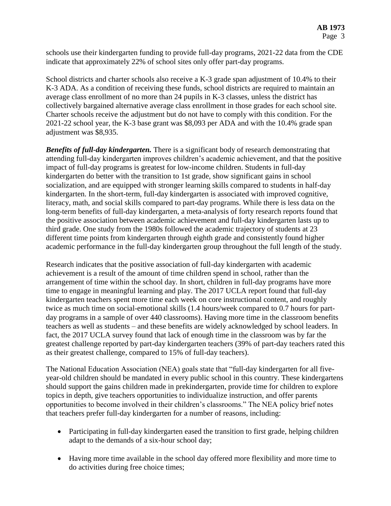schools use their kindergarten funding to provide full-day programs, 2021-22 data from the CDE indicate that approximately 22% of school sites only offer part-day programs.

School districts and charter schools also receive a K-3 grade span adjustment of 10.4% to their K-3 ADA. As a condition of receiving these funds, school districts are required to maintain an average class enrollment of no more than 24 pupils in K-3 classes, unless the district has collectively bargained alternative average class enrollment in those grades for each school site. Charter schools receive the adjustment but do not have to comply with this condition. For the 2021-22 school year, the K-3 base grant was \$8,093 per ADA and with the 10.4% grade span adjustment was \$8,935.

*Benefits of full-day kindergarten.* There is a significant body of research demonstrating that attending full-day kindergarten improves children's academic achievement, and that the positive impact of full-day programs is greatest for low-income children. Students in full-day kindergarten do better with the transition to 1st grade, show significant gains in school socialization, and are equipped with stronger learning skills compared to students in half-day kindergarten. In the short-term, full-day kindergarten is associated with improved cognitive, literacy, math, and social skills compared to part-day programs. While there is less data on the long-term benefits of full-day kindergarten, a meta-analysis of forty research reports found that the positive association between academic achievement and full-day kindergarten lasts up to third grade. One study from the 1980s followed the academic trajectory of students at 23 different time points from kindergarten through eighth grade and consistently found higher academic performance in the full-day kindergarten group throughout the full length of the study.

Research indicates that the positive association of full-day kindergarten with academic achievement is a result of the amount of time children spend in school, rather than the arrangement of time within the school day. In short, children in full-day programs have more time to engage in meaningful learning and play. The 2017 UCLA report found that full-day kindergarten teachers spent more time each week on core instructional content, and roughly twice as much time on social-emotional skills (1.4 hours/week compared to 0.7 hours for partday programs in a sample of over 440 classrooms). Having more time in the classroom benefits teachers as well as students – and these benefits are widely acknowledged by school leaders. In fact, the 2017 UCLA survey found that lack of enough time in the classroom was by far the greatest challenge reported by part-day kindergarten teachers (39% of part-day teachers rated this as their greatest challenge, compared to 15% of full-day teachers).

The National Education Association (NEA) goals state that "full-day kindergarten for all fiveyear-old children should be mandated in every public school in this country. These kindergartens should support the gains children made in prekindergarten, provide time for children to explore topics in depth, give teachers opportunities to individualize instruction, and offer parents opportunities to become involved in their children's classrooms." The NEA policy brief notes that teachers prefer full-day kindergarten for a number of reasons, including:

- Participating in full-day kindergarten eased the transition to first grade, helping children adapt to the demands of a six-hour school day;
- Having more time available in the school day offered more flexibility and more time to do activities during free choice times;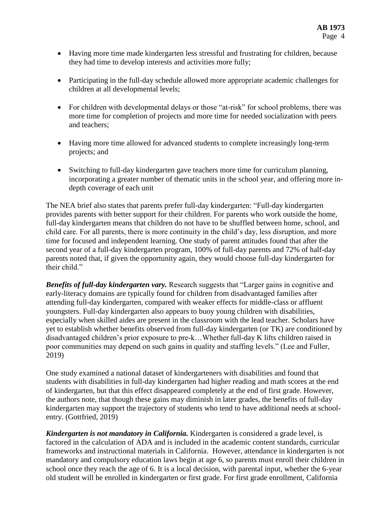- Having more time made kindergarten less stressful and frustrating for children, because they had time to develop interests and activities more fully;
- Participating in the full-day schedule allowed more appropriate academic challenges for children at all developmental levels;
- For children with developmental delays or those "at-risk" for school problems, there was more time for completion of projects and more time for needed socialization with peers and teachers;
- Having more time allowed for advanced students to complete increasingly long-term projects; and
- Switching to full-day kindergarten gave teachers more time for curriculum planning, incorporating a greater number of thematic units in the school year, and offering more indepth coverage of each unit

The NEA brief also states that parents prefer full-day kindergarten: "Full-day kindergarten provides parents with better support for their children. For parents who work outside the home, full-day kindergarten means that children do not have to be shuffled between home, school, and child care. For all parents, there is more continuity in the child's day, less disruption, and more time for focused and independent learning. One study of parent attitudes found that after the second year of a full-day kindergarten program, 100% of full-day parents and 72% of half-day parents noted that, if given the opportunity again, they would choose full-day kindergarten for their child."

*Benefits of full-day kindergarten vary.* Research suggests that "Larger gains in cognitive and early-literacy domains are typically found for children from disadvantaged families after attending full-day kindergarten, compared with weaker effects for middle-class or affluent youngsters. Full-day kindergarten also appears to buoy young children with disabilities, especially when skilled aides are present in the classroom with the lead teacher. Scholars have yet to establish whether benefits observed from full-day kindergarten (or TK) are conditioned by disadvantaged children's prior exposure to pre-k…Whether full-day K lifts children raised in poor communities may depend on such gains in quality and staffing levels." (Lee and Fuller, 2019)

One study examined a national dataset of kindergarteners with disabilities and found that students with disabilities in full-day kindergarten had higher reading and math scores at the end of kindergarten, but that this effect disappeared completely at the end of first grade. However, the authors note, that though these gains may diminish in later grades, the benefits of full-day kindergarten may support the trajectory of students who tend to have additional needs at schoolentry. (Gottfried, 2019)

*Kindergarten is not mandatory in California.* Kindergarten is considered a grade level, is factored in the calculation of ADA and is included in the academic content standards, curricular frameworks and instructional materials in California. However, attendance in kindergarten is not mandatory and compulsory education laws begin at age 6, so parents must enroll their children in school once they reach the age of 6. It is a local decision, with parental input, whether the 6-year old student will be enrolled in kindergarten or first grade. For first grade enrollment, California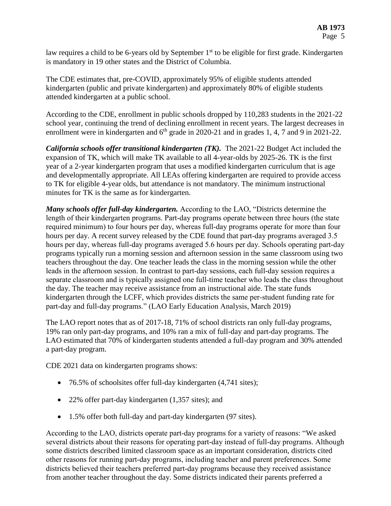law requires a child to be 6-years old by September 1<sup>st</sup> to be eligible for first grade. Kindergarten is mandatory in 19 other states and the District of Columbia.

The CDE estimates that, pre-COVID, approximately 95% of eligible students attended kindergarten (public and private kindergarten) and approximately 80% of eligible students attended kindergarten at a public school.

According to the CDE, enrollment in public schools dropped by 110,283 students in the 2021-22 school year, continuing the trend of declining enrollment in recent years. The largest decreases in enrollment were in kindergarten and  $6<sup>th</sup>$  grade in 2020-21 and in grades 1, 4, 7 and 9 in 2021-22.

*California schools offer transitional kindergarten (TK).* The 2021-22 Budget Act included the expansion of TK, which will make TK available to all 4-year-olds by 2025-26. TK is the first year of a 2-year kindergarten program that uses a modified kindergarten curriculum that is age and developmentally appropriate. All LEAs offering kindergarten are required to provide access to TK for eligible 4-year olds, but attendance is not mandatory. The minimum instructional minutes for TK is the same as for kindergarten.

*Many schools offer full-day kindergarten.* According to the LAO, "Districts determine the length of their kindergarten programs. Part-day programs operate between three hours (the state required minimum) to four hours per day, whereas full-day programs operate for more than four hours per day. A recent survey released by the CDE found that part-day programs averaged 3.5 hours per day, whereas full-day programs averaged 5.6 hours per day. Schools operating part-day programs typically run a morning session and afternoon session in the same classroom using two teachers throughout the day. One teacher leads the class in the morning session while the other leads in the afternoon session. In contrast to part-day sessions, each full-day session requires a separate classroom and is typically assigned one full-time teacher who leads the class throughout the day. The teacher may receive assistance from an instructional aide. The state funds kindergarten through the LCFF, which provides districts the same per‑student funding rate for part‑day and full‑day programs." (LAO Early Education Analysis, March 2019)

The LAO report notes that as of 2017-18, 71% of school districts ran only full-day programs, 19% ran only part-day programs, and 10% ran a mix of full-day and part-day programs. The LAO estimated that 70% of kindergarten students attended a full-day program and 30% attended a part-day program.

CDE 2021 data on kindergarten programs shows:

- 76.5% of schoolsites offer full-day kindergarten (4,741 sites);
- 22% offer part-day kindergarten (1,357 sites); and
- 1.5% offer both full-day and part-day kindergarten (97 sites).

According to the LAO, districts operate part-day programs for a variety of reasons: "We asked several districts about their reasons for operating part-day instead of full-day programs. Although some districts described limited classroom space as an important consideration, districts cited other reasons for running part‑day programs, including teacher and parent preferences. Some districts believed their teachers preferred part-day programs because they received assistance from another teacher throughout the day. Some districts indicated their parents preferred a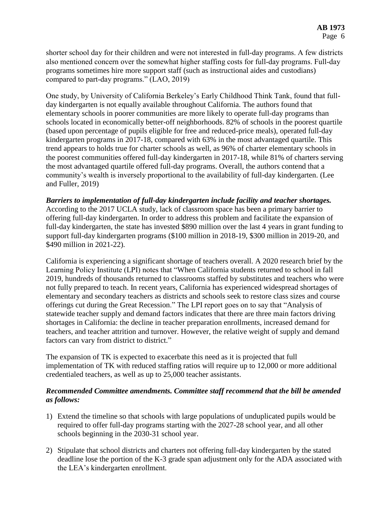shorter school day for their children and were not interested in full-day programs. A few districts also mentioned concern over the somewhat higher staffing costs for full-day programs. Full-day programs sometimes hire more support staff (such as instructional aides and custodians) compared to part‑day programs." (LAO, 2019)

One study, by University of California Berkeley's Early Childhood Think Tank, found that fullday kindergarten is not equally available throughout California. The authors found that elementary schools in poorer communities are more likely to operate full-day programs than schools located in economically better-off neighborhoods. 82% of schools in the poorest quartile (based upon percentage of pupils eligible for free and reduced-price meals), operated full-day kindergarten programs in 2017-18, compared with 63% in the most advantaged quartile. This trend appears to holds true for charter schools as well, as 96% of charter elementary schools in the poorest communities offered full-day kindergarten in 2017-18, while 81% of charters serving the most advantaged quartile offered full-day programs. Overall, the authors contend that a community's wealth is inversely proportional to the availability of full-day kindergarten. (Lee and Fuller, 2019)

*Barriers to implementation of full-day kindergarten include facility and teacher shortages.*  According to the 2017 UCLA study, lack of classroom space has been a primary barrier to offering full-day kindergarten. In order to address this problem and facilitate the expansion of full-day kindergarten, the state has invested \$890 million over the last 4 years in grant funding to support full-day kindergarten programs (\$100 million in 2018-19, \$300 million in 2019-20, and \$490 million in 2021-22).

California is experiencing a significant shortage of teachers overall. A 2020 research brief by the Learning Policy Institute (LPI) notes that "When California students returned to school in fall 2019, hundreds of thousands returned to classrooms staffed by substitutes and teachers who were not fully prepared to teach. In recent years, California has experienced widespread shortages of elementary and secondary teachers as districts and schools seek to restore class sizes and course offerings cut during the Great Recession." The LPI report goes on to say that "Analysis of statewide teacher supply and demand factors indicates that there are three main factors driving shortages in California: the decline in teacher preparation enrollments, increased demand for teachers, and teacher attrition and turnover. However, the relative weight of supply and demand factors can vary from district to district."

The expansion of TK is expected to exacerbate this need as it is projected that full implementation of TK with reduced staffing ratios will require up to 12,000 or more additional credentialed teachers, as well as up to 25,000 teacher assistants.

## *Recommended Committee amendments. Committee staff recommend that the bill be amended as follows:*

- 1) Extend the timeline so that schools with large populations of unduplicated pupils would be required to offer full-day programs starting with the 2027-28 school year, and all other schools beginning in the 2030-31 school year.
- 2) Stipulate that school districts and charters not offering full-day kindergarten by the stated deadline lose the portion of the K-3 grade span adjustment only for the ADA associated with the LEA's kindergarten enrollment.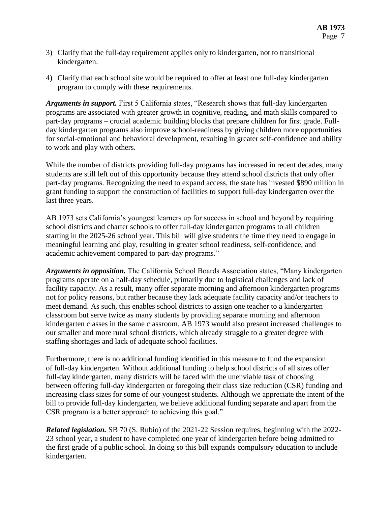- 3) Clarify that the full-day requirement applies only to kindergarten, not to transitional kindergarten.
- 4) Clarify that each school site would be required to offer at least one full-day kindergarten program to comply with these requirements.

*Arguments in support.* First 5 California states, "Research shows that full-day kindergarten programs are associated with greater growth in cognitive, reading, and math skills compared to part-day programs – crucial academic building blocks that prepare children for first grade. Fullday kindergarten programs also improve school-readiness by giving children more opportunities for social-emotional and behavioral development, resulting in greater self-confidence and ability to work and play with others.

While the number of districts providing full-day programs has increased in recent decades, many students are still left out of this opportunity because they attend school districts that only offer part-day programs. Recognizing the need to expand access, the state has invested \$890 million in grant funding to support the construction of facilities to support full-day kindergarten over the last three years.

AB 1973 sets California's youngest learners up for success in school and beyond by requiring school districts and charter schools to offer full-day kindergarten programs to all children starting in the 2025-26 school year. This bill will give students the time they need to engage in meaningful learning and play, resulting in greater school readiness, self-confidence, and academic achievement compared to part-day programs."

*Arguments in opposition.* The California School Boards Association states, "Many kindergarten programs operate on a half-day schedule, primarily due to logistical challenges and lack of facility capacity. As a result, many offer separate morning and afternoon kindergarten programs not for policy reasons, but rather because they lack adequate facility capacity and/or teachers to meet demand. As such, this enables school districts to assign one teacher to a kindergarten classroom but serve twice as many students by providing separate morning and afternoon kindergarten classes in the same classroom. AB 1973 would also present increased challenges to our smaller and more rural school districts, which already struggle to a greater degree with staffing shortages and lack of adequate school facilities.

Furthermore, there is no additional funding identified in this measure to fund the expansion of full-day kindergarten. Without additional funding to help school districts of all sizes offer full-day kindergarten, many districts will be faced with the unenviable task of choosing between offering full-day kindergarten or foregoing their class size reduction (CSR) funding and increasing class sizes for some of our youngest students. Although we appreciate the intent of the bill to provide full-day kindergarten, we believe additional funding separate and apart from the CSR program is a better approach to achieving this goal."

*Related legislation.* SB 70 (S. Rubio) of the 2021-22 Session requires, beginning with the 2022- 23 school year, a student to have completed one year of kindergarten before being admitted to the first grade of a public school. In doing so this bill expands compulsory education to include kindergarten.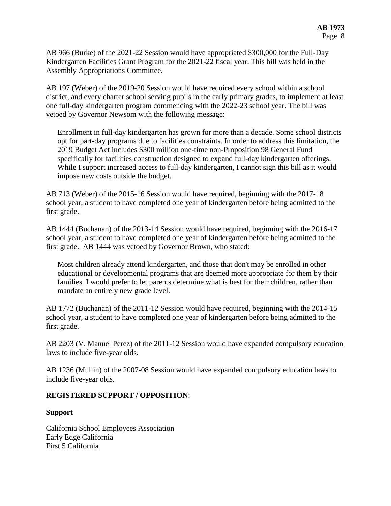AB 966 (Burke) of the 2021-22 Session would have appropriated \$300,000 for the Full-Day Kindergarten Facilities Grant Program for the 2021-22 fiscal year. This bill was held in the Assembly Appropriations Committee.

AB 197 (Weber) of the 2019-20 Session would have required every school within a school district, and every charter school serving pupils in the early primary grades, to implement at least one full-day kindergarten program commencing with the 2022-23 school year. The bill was vetoed by Governor Newsom with the following message:

Enrollment in full-day kindergarten has grown for more than a decade. Some school districts opt for part-day programs due to facilities constraints. In order to address this limitation, the 2019 Budget Act includes \$300 million one-time non-Proposition 98 General Fund specifically for facilities construction designed to expand full-day kindergarten offerings. While I support increased access to full-day kindergarten, I cannot sign this bill as it would impose new costs outside the budget.

AB 713 (Weber) of the 2015-16 Session would have required, beginning with the 2017-18 school year, a student to have completed one year of kindergarten before being admitted to the first grade.

AB 1444 (Buchanan) of the 2013-14 Session would have required, beginning with the 2016-17 school year, a student to have completed one year of kindergarten before being admitted to the first grade. AB 1444 was vetoed by Governor Brown, who stated:

Most children already attend kindergarten, and those that don't may be enrolled in other educational or developmental programs that are deemed more appropriate for them by their families. I would prefer to let parents determine what is best for their children, rather than mandate an entirely new grade level.

AB 1772 (Buchanan) of the 2011-12 Session would have required, beginning with the 2014-15 school year, a student to have completed one year of kindergarten before being admitted to the first grade.

AB 2203 (V. Manuel Perez) of the 2011-12 Session would have expanded compulsory education laws to include five-year olds.

AB 1236 (Mullin) of the 2007-08 Session would have expanded compulsory education laws to include five-year olds.

#### **REGISTERED SUPPORT / OPPOSITION**:

#### **Support**

California School Employees Association Early Edge California First 5 California